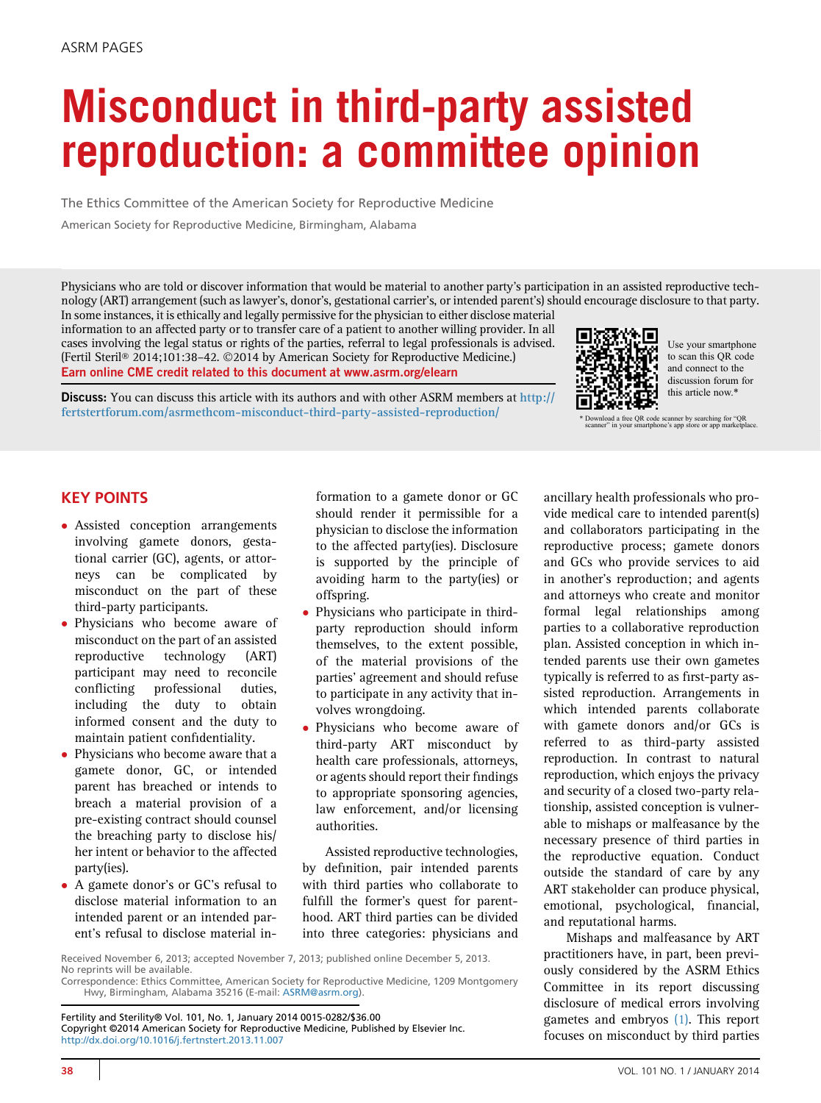# Misconduct in third-party assisted reproduction: a committee opinion

The Ethics Committee of the American Society for Reproductive Medicine

American Society for Reproductive Medicine, Birmingham, Alabama

Physicians who are told or discover information that would be material to another party's participation in an assisted reproductive technology (ART) arrangement (such as lawyer's, donor's, gestational carrier's, or intended parent's) should encourage disclosure to that party.

In some instances, it is ethically and legally permissive for the physician to either disclose material information to an affected party or to transfer care of a patient to another willing provider. In all cases involving the legal status or rights of the parties, referral to legal professionals is advised. (Fertil Steril® 2014;101:38-42. ©2014 by American Society for Reproductive Medicine.) Earn online CME credit related to this document at [www.asrm.org/elearn](http://www.asrm.org/elearn)

Discuss: You can discuss this article with its authors and with other ASRM members at [http://](http://fertstertforum.com/asrmethcom-misconduct-third-party-assisted-reproduction/) [fertstertforum.com/asrmethcom-misconduct-third-party-assisted-reproduction/](http://fertstertforum.com/asrmethcom-misconduct-third-party-assisted-reproduction/)



Use your smartphone to scan this QR code and connect to the discussion forum for this article now.\*

mload a free QR code scanner by searching for "QR searching for "QR scanner" in your smartphone's app store or app marketplace.

ancillary health professionals who pro-

# KEY POINTS

- Assisted conception arrangements involving gamete donors, gestational carrier (GC), agents, or attorneys can be complicated by misconduct on the part of these third-party participants.
- Physicians who become aware of misconduct on the part of an assisted reproductive technology (ART) participant may need to reconcile conflicting professional duties, including the duty to obtain informed consent and the duty to maintain patient confidentiality.
- Physicians who become aware that a gamete donor, GC, or intended parent has breached or intends to breach a material provision of a pre-existing contract should counsel the breaching party to disclose his/ her intent or behavior to the affected party(ies).
- A gamete donor's or GC's refusal to disclose material information to an intended parent or an intended parent's refusal to disclose material in-

formation to a gamete donor or GC should render it permissible for a physician to disclose the information to the affected party(ies). Disclosure is supported by the principle of avoiding harm to the party(ies) or offspring.

- Physicians who participate in thirdparty reproduction should inform themselves, to the extent possible, of the material provisions of the parties' agreement and should refuse to participate in any activity that involves wrongdoing.
- Physicians who become aware of third-party ART misconduct by health care professionals, attorneys, or agents should report their findings to appropriate sponsoring agencies, law enforcement, and/or licensing authorities.

Assisted reproductive technologies, by definition, pair intended parents with third parties who collaborate to fulfill the former's quest for parenthood. ART third parties can be divided into three categories: physicians and vide medical care to intended parent(s) and collaborators participating in the reproductive process; gamete donors and GCs who provide services to aid in another's reproduction; and agents and attorneys who create and monitor formal legal relationships among parties to a collaborative reproduction plan. Assisted conception in which intended parents use their own gametes typically is referred to as first-party assisted reproduction. Arrangements in which intended parents collaborate with gamete donors and/or GCs is referred to as third-party assisted reproduction. In contrast to natural reproduction, which enjoys the privacy and security of a closed two-party relationship, assisted conception is vulnerable to mishaps or malfeasance by the necessary presence of third parties in the reproductive equation. Conduct outside the standard of care by any ART stakeholder can produce physical, emotional, psychological, financial, and reputational harms.

Mishaps and malfeasance by ART practitioners have, in part, been previously considered by the ASRM Ethics Committee in its report discussing disclosure of medical errors involving gametes and embryos [\(1\)](#page-4-0). This report focuses on misconduct by third parties

Fertility and Sterility® Vol. 101, No. 1, January 2014 0015-0282/\$36.00 Copyright ©2014 American Society for Reproductive Medicine, Published by Elsevier Inc. <http://dx.doi.org/10.1016/j.fertnstert.2013.11.007>

Received November 6, 2013; accepted November 7, 2013; published online December 5, 2013. No reprints will be available.

Correspondence: Ethics Committee, American Society for Reproductive Medicine, 1209 Montgomery Hwy, Birmingham, Alabama 35216 (E-mail: [ASRM@asrm.org\)](mailto:ASRM@asrm.org).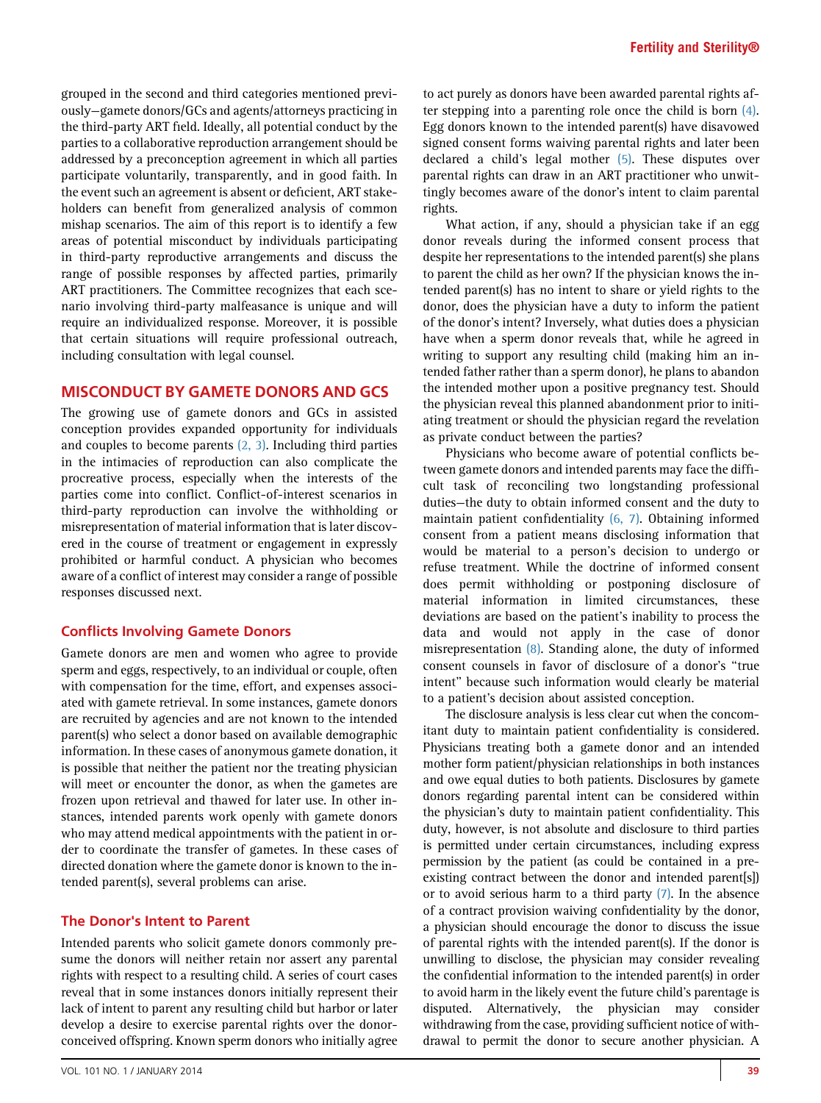grouped in the second and third categories mentioned previously—gamete donors/GCs and agents/attorneys practicing in the third-party ART field. Ideally, all potential conduct by the parties to a collaborative reproduction arrangement should be addressed by a preconception agreement in which all parties participate voluntarily, transparently, and in good faith. In the event such an agreement is absent or deficient, ART stakeholders can benefit from generalized analysis of common mishap scenarios. The aim of this report is to identify a few areas of potential misconduct by individuals participating in third-party reproductive arrangements and discuss the range of possible responses by affected parties, primarily ART practitioners. The Committee recognizes that each scenario involving third-party malfeasance is unique and will require an individualized response. Moreover, it is possible that certain situations will require professional outreach, including consultation with legal counsel.

### MISCONDUCT BY GAMETE DONORS AND GCS

The growing use of gamete donors and GCs in assisted conception provides expanded opportunity for individuals and couples to become parents [\(2, 3\).](#page-4-0) Including third parties in the intimacies of reproduction can also complicate the procreative process, especially when the interests of the parties come into conflict. Conflict-of-interest scenarios in third-party reproduction can involve the withholding or misrepresentation of material information that is later discovered in the course of treatment or engagement in expressly prohibited or harmful conduct. A physician who becomes aware of a conflict of interest may consider a range of possible responses discussed next.

### Conflicts Involving Gamete Donors

Gamete donors are men and women who agree to provide sperm and eggs, respectively, to an individual or couple, often with compensation for the time, effort, and expenses associated with gamete retrieval. In some instances, gamete donors are recruited by agencies and are not known to the intended parent(s) who select a donor based on available demographic information. In these cases of anonymous gamete donation, it is possible that neither the patient nor the treating physician will meet or encounter the donor, as when the gametes are frozen upon retrieval and thawed for later use. In other instances, intended parents work openly with gamete donors who may attend medical appointments with the patient in order to coordinate the transfer of gametes. In these cases of directed donation where the gamete donor is known to the intended parent(s), several problems can arise.

### The Donor's Intent to Parent

Intended parents who solicit gamete donors commonly presume the donors will neither retain nor assert any parental rights with respect to a resulting child. A series of court cases reveal that in some instances donors initially represent their lack of intent to parent any resulting child but harbor or later develop a desire to exercise parental rights over the donorconceived offspring. Known sperm donors who initially agree

to act purely as donors have been awarded parental rights after stepping into a parenting role once the child is born [\(4\).](#page-4-0) Egg donors known to the intended parent(s) have disavowed signed consent forms waiving parental rights and later been declared a child's legal mother [\(5\)](#page-4-0). These disputes over parental rights can draw in an ART practitioner who unwittingly becomes aware of the donor's intent to claim parental rights.

What action, if any, should a physician take if an egg donor reveals during the informed consent process that despite her representations to the intended parent(s) she plans to parent the child as her own? If the physician knows the intended parent(s) has no intent to share or yield rights to the donor, does the physician have a duty to inform the patient of the donor's intent? Inversely, what duties does a physician have when a sperm donor reveals that, while he agreed in writing to support any resulting child (making him an intended father rather than a sperm donor), he plans to abandon the intended mother upon a positive pregnancy test. Should the physician reveal this planned abandonment prior to initiating treatment or should the physician regard the revelation as private conduct between the parties?

Physicians who become aware of potential conflicts between gamete donors and intended parents may face the difficult task of reconciling two longstanding professional duties—the duty to obtain informed consent and the duty to maintain patient confidentiality [\(6, 7\).](#page-4-0) Obtaining informed consent from a patient means disclosing information that would be material to a person's decision to undergo or refuse treatment. While the doctrine of informed consent does permit withholding or postponing disclosure of material information in limited circumstances, these deviations are based on the patient's inability to process the data and would not apply in the case of donor misrepresentation [\(8\).](#page-4-0) Standing alone, the duty of informed consent counsels in favor of disclosure of a donor's ''true intent'' because such information would clearly be material to a patient's decision about assisted conception.

The disclosure analysis is less clear cut when the concomitant duty to maintain patient confidentiality is considered. Physicians treating both a gamete donor and an intended mother form patient/physician relationships in both instances and owe equal duties to both patients. Disclosures by gamete donors regarding parental intent can be considered within the physician's duty to maintain patient confidentiality. This duty, however, is not absolute and disclosure to third parties is permitted under certain circumstances, including express permission by the patient (as could be contained in a preexisting contract between the donor and intended parent[s]) or to avoid serious harm to a third party [\(7\).](#page-4-0) In the absence of a contract provision waiving confidentiality by the donor, a physician should encourage the donor to discuss the issue of parental rights with the intended parent(s). If the donor is unwilling to disclose, the physician may consider revealing the confidential information to the intended parent(s) in order to avoid harm in the likely event the future child's parentage is disputed. Alternatively, the physician may consider withdrawing from the case, providing sufficient notice of withdrawal to permit the donor to secure another physician. A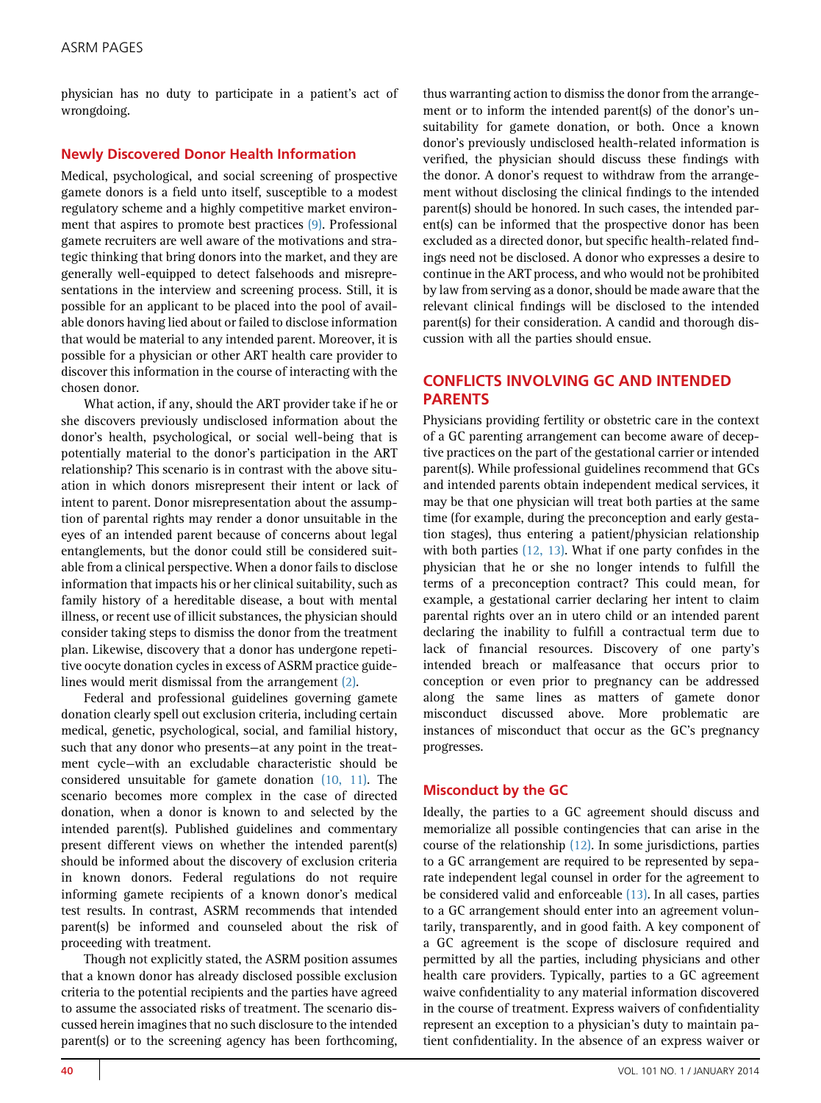physician has no duty to participate in a patient's act of wrongdoing.

## Newly Discovered Donor Health Information

Medical, psychological, and social screening of prospective gamete donors is a field unto itself, susceptible to a modest regulatory scheme and a highly competitive market environment that aspires to promote best practices [\(9\)](#page-4-0). Professional gamete recruiters are well aware of the motivations and strategic thinking that bring donors into the market, and they are generally well-equipped to detect falsehoods and misrepresentations in the interview and screening process. Still, it is possible for an applicant to be placed into the pool of available donors having lied about or failed to disclose information that would be material to any intended parent. Moreover, it is possible for a physician or other ART health care provider to discover this information in the course of interacting with the chosen donor.

What action, if any, should the ART provider take if he or she discovers previously undisclosed information about the donor's health, psychological, or social well-being that is potentially material to the donor's participation in the ART relationship? This scenario is in contrast with the above situation in which donors misrepresent their intent or lack of intent to parent. Donor misrepresentation about the assumption of parental rights may render a donor unsuitable in the eyes of an intended parent because of concerns about legal entanglements, but the donor could still be considered suitable from a clinical perspective. When a donor fails to disclose information that impacts his or her clinical suitability, such as family history of a hereditable disease, a bout with mental illness, or recent use of illicit substances, the physician should consider taking steps to dismiss the donor from the treatment plan. Likewise, discovery that a donor has undergone repetitive oocyte donation cycles in excess of ASRM practice guidelines would merit dismissal from the arrangement [\(2\).](#page-4-0)

Federal and professional guidelines governing gamete donation clearly spell out exclusion criteria, including certain medical, genetic, psychological, social, and familial history, such that any donor who presents—at any point in the treatment cycle—with an excludable characteristic should be considered unsuitable for gamete donation [\(10, 11\)](#page-4-0). The scenario becomes more complex in the case of directed donation, when a donor is known to and selected by the intended parent(s). Published guidelines and commentary present different views on whether the intended parent(s) should be informed about the discovery of exclusion criteria in known donors. Federal regulations do not require informing gamete recipients of a known donor's medical test results. In contrast, ASRM recommends that intended parent(s) be informed and counseled about the risk of proceeding with treatment.

Though not explicitly stated, the ASRM position assumes that a known donor has already disclosed possible exclusion criteria to the potential recipients and the parties have agreed to assume the associated risks of treatment. The scenario discussed herein imagines that no such disclosure to the intended parent(s) or to the screening agency has been forthcoming,

thus warranting action to dismiss the donor from the arrangement or to inform the intended parent(s) of the donor's unsuitability for gamete donation, or both. Once a known donor's previously undisclosed health-related information is verified, the physician should discuss these findings with the donor. A donor's request to withdraw from the arrangement without disclosing the clinical findings to the intended parent(s) should be honored. In such cases, the intended parent(s) can be informed that the prospective donor has been excluded as a directed donor, but specific health-related findings need not be disclosed. A donor who expresses a desire to continue in the ART process, and who would not be prohibited by law from serving as a donor, should be made aware that the relevant clinical findings will be disclosed to the intended parent(s) for their consideration. A candid and thorough discussion with all the parties should ensue.

# CONFLICTS INVOLVING GC AND INTENDED PARENTS

Physicians providing fertility or obstetric care in the context of a GC parenting arrangement can become aware of deceptive practices on the part of the gestational carrier or intended parent(s). While professional guidelines recommend that GCs and intended parents obtain independent medical services, it may be that one physician will treat both parties at the same time (for example, during the preconception and early gestation stages), thus entering a patient/physician relationship with both parties [\(12, 13\)](#page-4-0). What if one party confides in the physician that he or she no longer intends to fulfill the terms of a preconception contract? This could mean, for example, a gestational carrier declaring her intent to claim parental rights over an in utero child or an intended parent declaring the inability to fulfill a contractual term due to lack of financial resources. Discovery of one party's intended breach or malfeasance that occurs prior to conception or even prior to pregnancy can be addressed along the same lines as matters of gamete donor misconduct discussed above. More problematic are instances of misconduct that occur as the GC's pregnancy progresses.

## Misconduct by the GC

Ideally, the parties to a GC agreement should discuss and memorialize all possible contingencies that can arise in the course of the relationship [\(12\).](#page-4-0) In some jurisdictions, parties to a GC arrangement are required to be represented by separate independent legal counsel in order for the agreement to be considered valid and enforceable [\(13\)](#page-4-0). In all cases, parties to a GC arrangement should enter into an agreement voluntarily, transparently, and in good faith. A key component of a GC agreement is the scope of disclosure required and permitted by all the parties, including physicians and other health care providers. Typically, parties to a GC agreement waive confidentiality to any material information discovered in the course of treatment. Express waivers of confidentiality represent an exception to a physician's duty to maintain patient confidentiality. In the absence of an express waiver or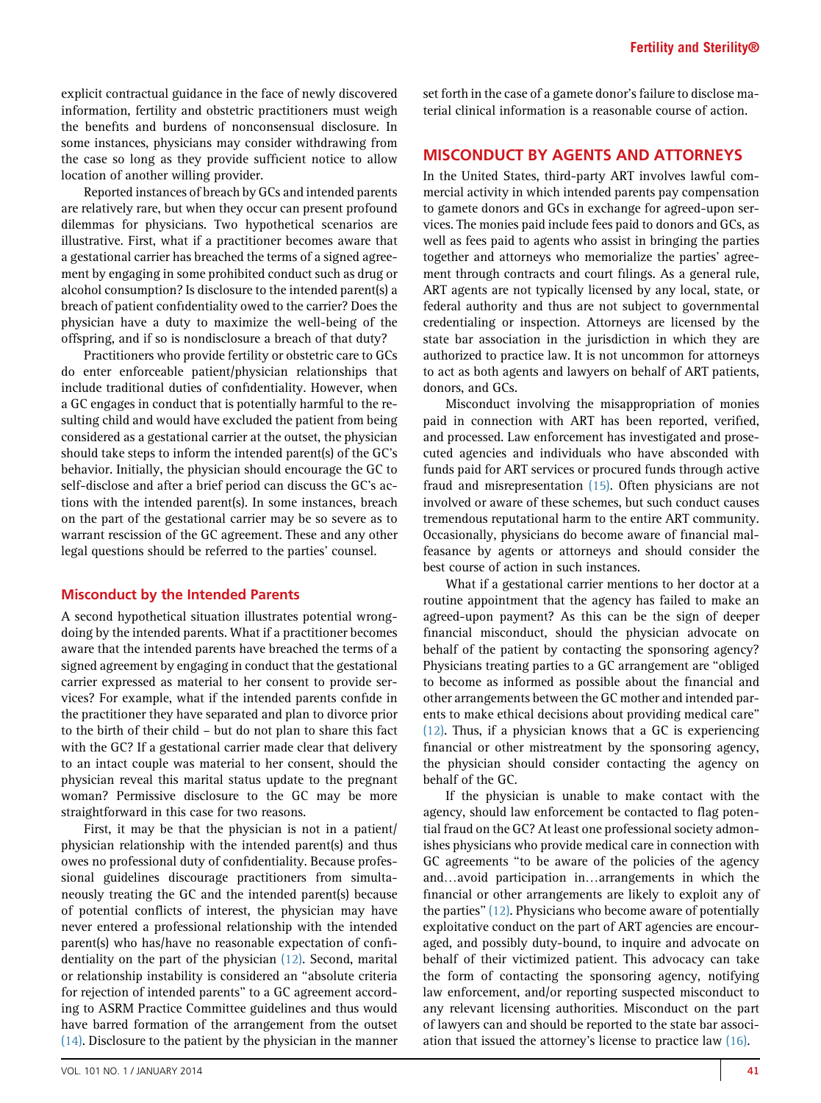explicit contractual guidance in the face of newly discovered information, fertility and obstetric practitioners must weigh the benefits and burdens of nonconsensual disclosure. In some instances, physicians may consider withdrawing from the case so long as they provide sufficient notice to allow location of another willing provider.

Reported instances of breach by GCs and intended parents are relatively rare, but when they occur can present profound dilemmas for physicians. Two hypothetical scenarios are illustrative. First, what if a practitioner becomes aware that a gestational carrier has breached the terms of a signed agreement by engaging in some prohibited conduct such as drug or alcohol consumption? Is disclosure to the intended parent(s) a breach of patient confidentiality owed to the carrier? Does the physician have a duty to maximize the well-being of the offspring, and if so is nondisclosure a breach of that duty?

Practitioners who provide fertility or obstetric care to GCs do enter enforceable patient/physician relationships that include traditional duties of confidentiality. However, when a GC engages in conduct that is potentially harmful to the resulting child and would have excluded the patient from being considered as a gestational carrier at the outset, the physician should take steps to inform the intended parent(s) of the GC's behavior. Initially, the physician should encourage the GC to self-disclose and after a brief period can discuss the GC's actions with the intended parent(s). In some instances, breach on the part of the gestational carrier may be so severe as to warrant rescission of the GC agreement. These and any other legal questions should be referred to the parties' counsel.

### Misconduct by the Intended Parents

A second hypothetical situation illustrates potential wrongdoing by the intended parents. What if a practitioner becomes aware that the intended parents have breached the terms of a signed agreement by engaging in conduct that the gestational carrier expressed as material to her consent to provide services? For example, what if the intended parents confide in the practitioner they have separated and plan to divorce prior to the birth of their child – but do not plan to share this fact with the GC? If a gestational carrier made clear that delivery to an intact couple was material to her consent, should the physician reveal this marital status update to the pregnant woman? Permissive disclosure to the GC may be more straightforward in this case for two reasons.

First, it may be that the physician is not in a patient/ physician relationship with the intended parent(s) and thus owes no professional duty of confidentiality. Because professional guidelines discourage practitioners from simultaneously treating the GC and the intended parent(s) because of potential conflicts of interest, the physician may have never entered a professional relationship with the intended parent(s) who has/have no reasonable expectation of confidentiality on the part of the physician [\(12\)](#page-4-0). Second, marital or relationship instability is considered an ''absolute criteria for rejection of intended parents'' to a GC agreement according to ASRM Practice Committee guidelines and thus would have barred formation of the arrangement from the outset [\(14\).](#page-4-0) Disclosure to the patient by the physician in the manner

set forth in the case of a gamete donor's failure to disclose material clinical information is a reasonable course of action.

# MISCONDUCT BY AGENTS AND ATTORNEYS

In the United States, third-party ART involves lawful commercial activity in which intended parents pay compensation to gamete donors and GCs in exchange for agreed-upon services. The monies paid include fees paid to donors and GCs, as well as fees paid to agents who assist in bringing the parties together and attorneys who memorialize the parties' agreement through contracts and court filings. As a general rule, ART agents are not typically licensed by any local, state, or federal authority and thus are not subject to governmental credentialing or inspection. Attorneys are licensed by the state bar association in the jurisdiction in which they are authorized to practice law. It is not uncommon for attorneys to act as both agents and lawyers on behalf of ART patients, donors, and GCs.

Misconduct involving the misappropriation of monies paid in connection with ART has been reported, verified, and processed. Law enforcement has investigated and prosecuted agencies and individuals who have absconded with funds paid for ART services or procured funds through active fraud and misrepresentation [\(15\)](#page-4-0). Often physicians are not involved or aware of these schemes, but such conduct causes tremendous reputational harm to the entire ART community. Occasionally, physicians do become aware of financial malfeasance by agents or attorneys and should consider the best course of action in such instances.

What if a gestational carrier mentions to her doctor at a routine appointment that the agency has failed to make an agreed-upon payment? As this can be the sign of deeper financial misconduct, should the physician advocate on behalf of the patient by contacting the sponsoring agency? Physicians treating parties to a GC arrangement are ''obliged to become as informed as possible about the financial and other arrangements between the GC mother and intended parents to make ethical decisions about providing medical care'' [\(12\).](#page-4-0) Thus, if a physician knows that a GC is experiencing financial or other mistreatment by the sponsoring agency, the physician should consider contacting the agency on behalf of the GC.

If the physician is unable to make contact with the agency, should law enforcement be contacted to flag potential fraud on the GC? At least one professional society admonishes physicians who provide medical care in connection with GC agreements ''to be aware of the policies of the agency and...avoid participation in...arrangements in which the financial or other arrangements are likely to exploit any of the parties'' [\(12\).](#page-4-0) Physicians who become aware of potentially exploitative conduct on the part of ART agencies are encouraged, and possibly duty-bound, to inquire and advocate on behalf of their victimized patient. This advocacy can take the form of contacting the sponsoring agency, notifying law enforcement, and/or reporting suspected misconduct to any relevant licensing authorities. Misconduct on the part of lawyers can and should be reported to the state bar association that issued the attorney's license to practice law [\(16\)](#page-4-0).